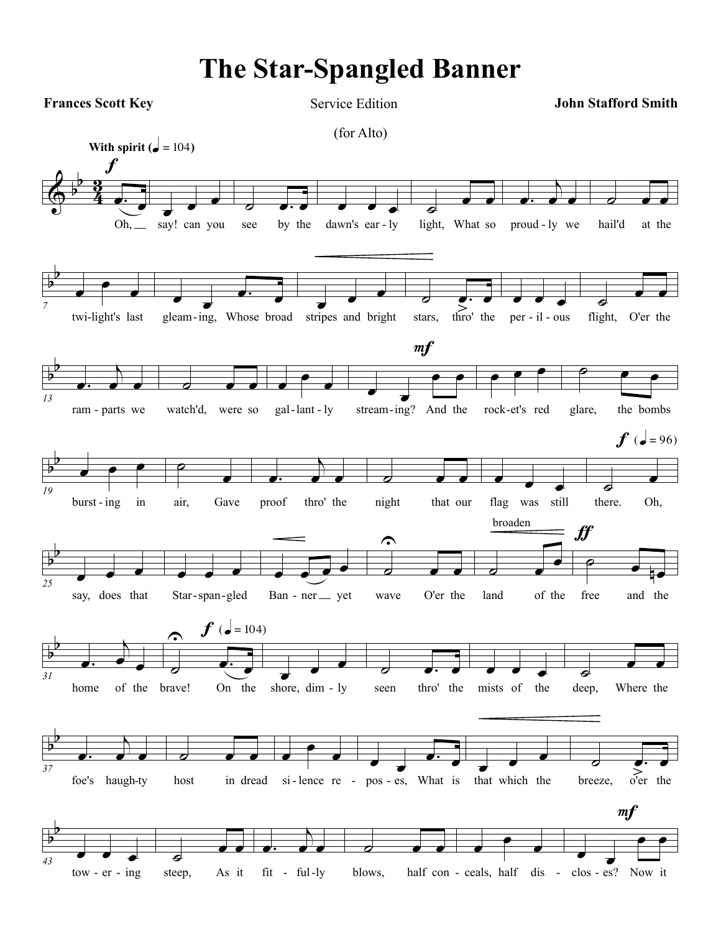## **The Star-Spangled Banner**